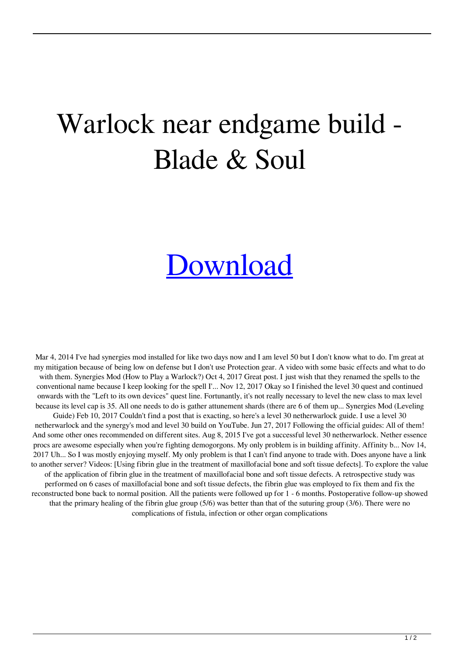## Warlock near endgame build - Blade & Soul

## [Download](http://evacdir.com/beguiling.VG9yY2hsaWdodCAyIFdhcmxvY2sgTGV2ZWxpbmcgQnVpbGRsVG9/bresciano/calder/ZG93bmxvYWR8UmQxTkdaemJYeDhNVFkxTlRnME1qazRNWHg4TWpVM05IeDhLRTBwSUhKbFlXUXRZbXh2WnlCYlJtRnpkQ0JIUlU1ZA/vertigo=cavallaro)

Mar 4, 2014 I've had synergies mod installed for like two days now and I am level 50 but I don't know what to do. I'm great at my mitigation because of being low on defense but I don't use Protection gear. A video with some basic effects and what to do with them. Synergies Mod (How to Play a Warlock?) Oct 4, 2017 Great post. I just wish that they renamed the spells to the conventional name because I keep looking for the spell I'... Nov 12, 2017 Okay so I finished the level 30 quest and continued onwards with the "Left to its own devices" quest line. Fortunantly, it's not really necessary to level the new class to max level because its level cap is 35. All one needs to do is gather attunement shards (there are 6 of them up... Synergies Mod (Leveling Guide) Feb 10, 2017 Couldn't find a post that is exacting, so here's a level 30 netherwarlock guide. I use a level 30 netherwarlock and the synergy's mod and level 30 build on YouTube. Jun 27, 2017 Following the official guides: All of them! And some other ones recommended on different sites. Aug 8, 2015 I've got a successful level 30 netherwarlock. Nether essence procs are awesome especially when you're fighting demogorgons. My only problem is in building affinity. Affinity b... Nov 14, 2017 Uh... So I was mostly enjoying myself. My only problem is that I can't find anyone to trade with. Does anyone have a link to another server? Videos: [Using fibrin glue in the treatment of maxillofacial bone and soft tissue defects]. To explore the value of the application of fibrin glue in the treatment of maxillofacial bone and soft tissue defects. A retrospective study was performed on 6 cases of maxillofacial bone and soft tissue defects, the fibrin glue was employed to fix them and fix the reconstructed bone back to normal position. All the patients were followed up for 1 - 6 months. Postoperative follow-up showed that the primary healing of the fibrin glue group (5/6) was better than that of the suturing group (3/6). There were no complications of fistula, infection or other organ complications